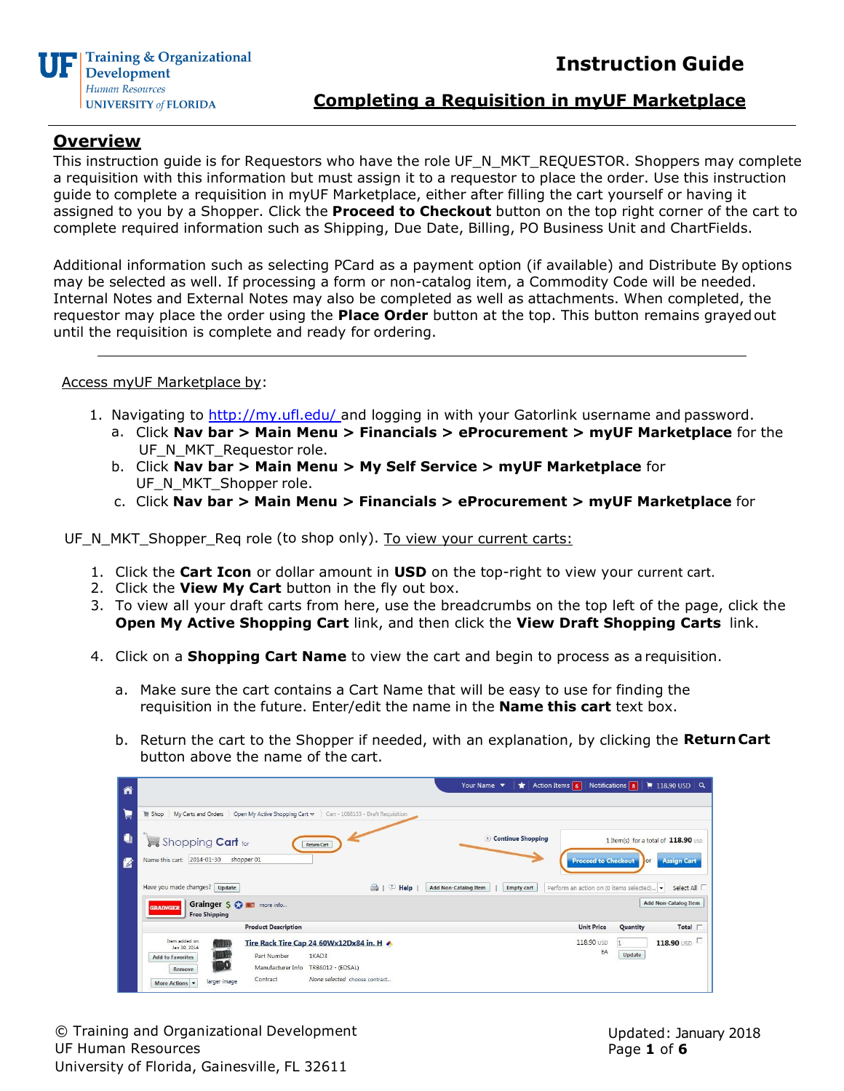

## **Completing a Requisition in myUF Marketplace**

## **Overview**

This instruction guide is for Requestors who have the role UF\_N\_MKT\_REQUESTOR. Shoppers may complete a requisition with this information but must assign it to a requestor to place the order. Use this instruction guide to complete a requisition in myUF Marketplace, either after filling the cart yourself or having it assigned to you by a Shopper. Click the **Proceed to Checkout** button on the top right corner of the cart to complete required information such as Shipping, Due Date, Billing, PO Business Unit and ChartFields.

Additional information such as selecting PCard as a payment option (if available) and Distribute By options may be selected as well. If processing a form or non-catalog item, a Commodity Code will be needed. Internal Notes and External Notes may also be completed as well as attachments. When completed, the requestor may place the order using the **Place Order** button at the top. This button remains grayedout until the requisition is complete and ready for ordering.

### Access myUF Marketplace by:

- 1. Navigating to [http://my.ufl.edu/ a](http://my.ufl.edu/)nd logging in with your Gatorlink username and password.
	- a. Click **Nav bar > Main Menu > Financials > eProcurement > myUF Marketplace** for the UF\_N\_MKT\_Requestor role.
	- b. Click **Nav bar > Main Menu > My Self Service > myUF Marketplace** for UF\_N\_MKT\_Shopper role.
	- c. Click **Nav bar > Main Menu > Financials > eProcurement > myUF Marketplace** for

UF\_N\_MKT\_Shopper\_Req role (to shop only). To view your current carts:

- 1. Click the **Cart Icon** or dollar amount in **USD** on the top-right to view your current cart.
- 2. Click the **View My Cart** button in the fly out box.
- 3. To view all your draft carts from here, use the breadcrumbs on the top left of the page, click the **Open My Active Shopping Cart** link, and then click the **View Draft Shopping Carts** link.
- 4. Click on a **Shopping Cart Name** to view the cart and begin to process as a requisition.
	- a. Make sure the cart contains a Cart Name that will be easy to use for finding the requisition in the future. Enter/edit the name in the **Name this cart** text box.
	- b. Return the cart to the Shopper if needed, with an explanation, by clicking the **ReturnCart** button above the name of the cart.

| Ã      | Your Name v<br>$\star$                                                                                                                                                                                                                                        | Action Items 6<br>Notifications 8<br>$\parallel$ 118.90 USD $\mid$ Q                                                            |  |  |  |  |
|--------|---------------------------------------------------------------------------------------------------------------------------------------------------------------------------------------------------------------------------------------------------------------|---------------------------------------------------------------------------------------------------------------------------------|--|--|--|--|
| ₽      | My Carts and Orders Dpen My Active Shopping Cart $\triangledown$<br>Cart - 1088153 - Draft Requisition<br>Shop                                                                                                                                                |                                                                                                                                 |  |  |  |  |
| O<br>囪 | Shopping Cart for<br><b>Return Cart</b><br>Name this cart: 2014-01-30<br>shopper 01                                                                                                                                                                           | Continue Shopping<br>1 Item(s) for a total of 118.90 usp<br><b>Proceed to Checkout</b><br><b>Assign Cart</b><br>I <sub>or</sub> |  |  |  |  |
|        | Have you made changes?   Update<br><b>A</b>   <b>P</b> Help<br><b>Add Non-Catalog Item</b><br><b>Empty cart</b><br>Grainger S & M more info<br><b>GRAINGER</b><br><b>Free Shipping</b>                                                                        | Perform an action on (0 items selected)<br>$\overline{\phantom{a}}$<br>Select All $\Gamma$<br><b>Add Non-Catalog Item</b>       |  |  |  |  |
|        | <b>Product Description</b>                                                                                                                                                                                                                                    | <b>Unit Price</b><br>Total $\Gamma$<br>Quantity                                                                                 |  |  |  |  |
|        | Item added on<br>Tire Rack Tire Cap 24 60Wx12Dx84 in. H →<br>Jan 30, 2014<br>Part Number<br>1KAD3<br><b>Add to Favorites</b><br>Manufacturer Info<br>TRB6012 - (EDSAL)<br>Remove<br>None selected choose contract<br>Contract<br>larger image<br>More Actions | 118.90 USD<br>118.90 USD<br>EA<br>Update                                                                                        |  |  |  |  |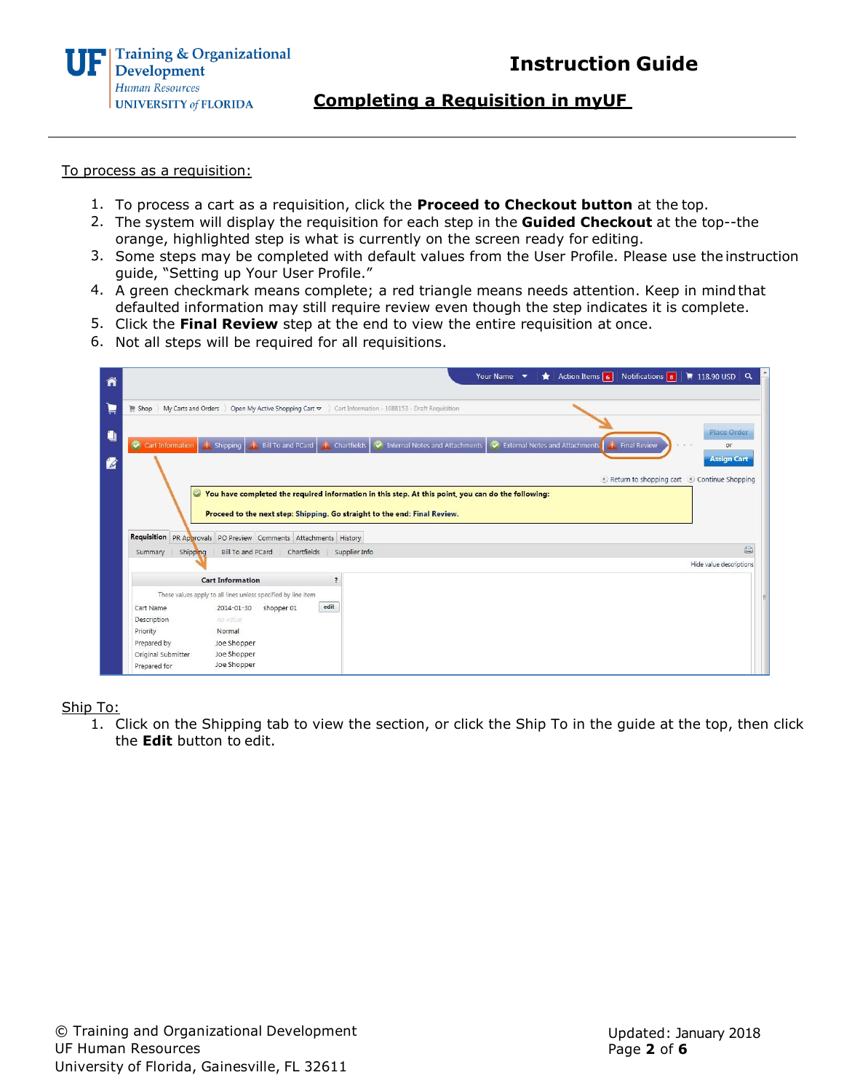

**Completing a Requisition in myUF**

#### To process as a requisition:

- 1. To process a cart as a requisition, click the **Proceed to Checkout button** at the top.
- 2. The system will display the requisition for each step in the **Guided Checkout** at the top--the orange, highlighted step is what is currently on the screen ready for editing.
- 3. Some steps may be completed with default values from the User Profile. Please use the instruction guide, "Setting up Your User Profile."
- 4. A green checkmark means complete; a red triangle means needs attention. Keep in mindthat defaulted information may still require review even though the step indicates it is complete.
- 5. Click the **Final Review** step at the end to view the entire requisition at once.
- 6. Not all steps will be required for all requisitions.

| ñ  | Action Items $\boxed{6}$ Notifications $\boxed{8}$<br>Your Name v                                                                                                                                                                                                 | $\parallel$ 118.90 USD Q                                         |  |  |  |  |  |
|----|-------------------------------------------------------------------------------------------------------------------------------------------------------------------------------------------------------------------------------------------------------------------|------------------------------------------------------------------|--|--|--|--|--|
| Þ  | My Carts and Orders<br>Open My Active Shopping Cart $\sim$<br>Cart Information - 1088153 - Draft Requisition<br>Shop                                                                                                                                              |                                                                  |  |  |  |  |  |
| y  | Cart Information 1. Shipping 1. Bill To and PCard 4. Chartfields<br>External Notes and Attachments<br>Internal Notes and Attachments<br><b>Final Review</b>                                                                                                       | Place Order<br>or                                                |  |  |  |  |  |
| 14 |                                                                                                                                                                                                                                                                   | <b>Assign Cart</b><br>Return to shopping cart (Continue Shopping |  |  |  |  |  |
|    | ◎ You have completed the required information in this step. At this point, you can do the following:<br>Proceed to the next step: Shipping. Go straight to the end: Final Review.<br>Requisition PR Approvals PO Preview Comments Attachments History             |                                                                  |  |  |  |  |  |
|    | Shipping<br>Bill To and PCard<br>Chartfields<br>Supplier Info<br>Summary                                                                                                                                                                                          | $\oplus$                                                         |  |  |  |  |  |
|    |                                                                                                                                                                                                                                                                   | Hide value descriptions                                          |  |  |  |  |  |
|    | <b>Cart Information</b><br>$\overline{\phantom{a}}$                                                                                                                                                                                                               |                                                                  |  |  |  |  |  |
|    | These values apply to all lines unless specified by line item<br>edit<br>Cart Name<br>shopper 01<br>2014-01-30<br>Description<br>no value<br>Priority<br>Normal<br>Prepared by<br>Joe Shopper<br>Joe Shopper<br>Original Submitter<br>Joe Shopper<br>Prepared for |                                                                  |  |  |  |  |  |

Ship To:

1. Click on the Shipping tab to view the section, or click the Ship To in the guide at the top, then click the **Edit** button to edit.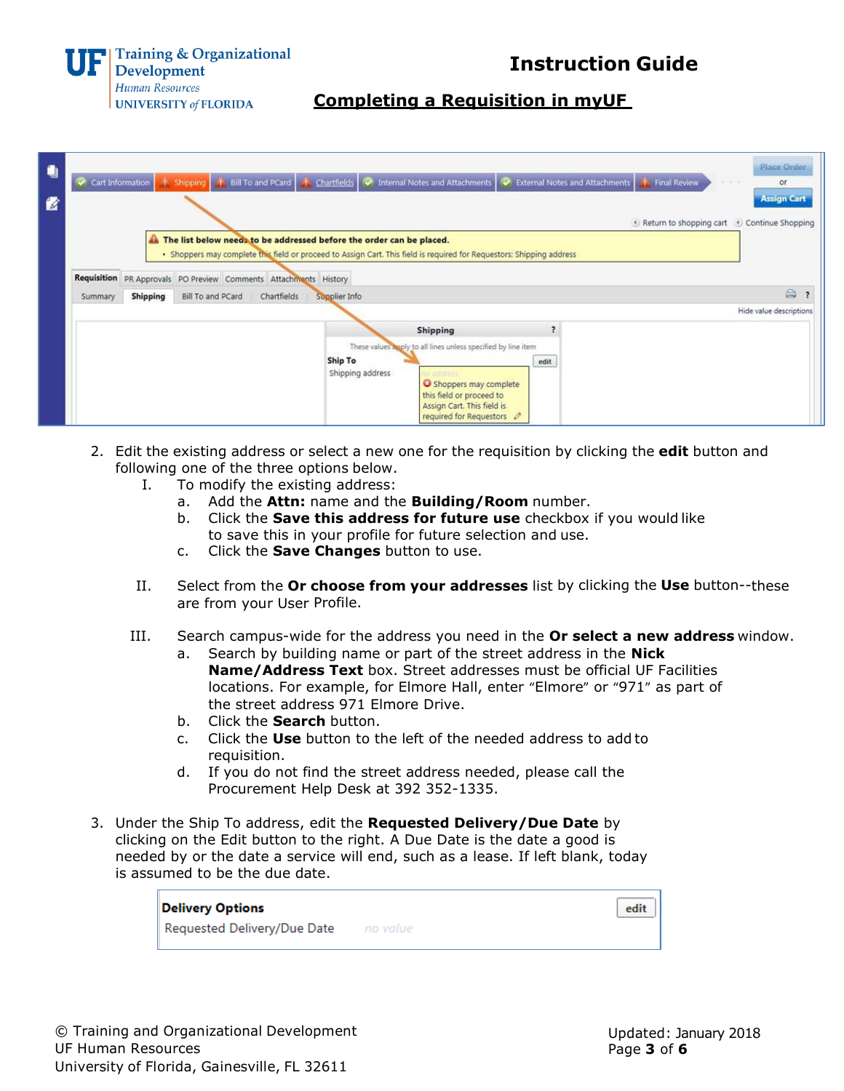

**Instruction Guide**

# **Completing a Requisition in myUF**

| $\blacksquare$ | Place Order<br>↑ Shipping 1. Bill To and PCard   1. Chartfields   ◆ Internal Notes and Attachments   ◆ External Notes and Attachments   1. Final Review<br>Cart Information<br>or<br>$4 - 4 - 4$                                                                  |
|----------------|-------------------------------------------------------------------------------------------------------------------------------------------------------------------------------------------------------------------------------------------------------------------|
| 佬              | <b>Assign Cart</b><br>Return to shopping cart (Continue Shopping                                                                                                                                                                                                  |
|                | The list below needs to be addressed before the order can be placed.<br>· Shoppers may complete this field or proceed to Assign Cart. This field is required for Requestors: Shipping address<br>Requisition PR Approvals PO Preview Comments Attachments History |
|                | $\oplus$<br><b>Shipping</b><br><b>Bill To and PCard</b><br>Chartfields<br>Supplier Info<br>Summary                                                                                                                                                                |
|                | Hide value descriptions                                                                                                                                                                                                                                           |
|                | <b>Shipping</b><br>These values apply to all lines unless specified by line item<br>Ship To<br>edit<br>Shipping address<br>to address<br>Shoppers may complete<br>this field or proceed to<br>Assign Cart. This field is<br>required for Requestors $\mathscr O$  |

- 2. Edit the existing address or select a new one for the requisition by clicking the **edit** button and following one of the three options below.
	- I. To modify the existing address:
		- a. Add the **Attn:** name and the **Building/Room** number.
		- b. Click the **Save this address for future use** checkbox if you would like to save this in your profile for future selection and use.
		- c. Click the **Save Changes** button to use.
	- II. Select from the **Or choose from your addresses** list by clicking the **Use** button--these are from your User Profile.
	- III. Search campus-wide for the address you need in the **Or select a new address** window. a. Search by building name or part of the street address in the **Nick**
		- **Name/Address Text** box. Street addresses must be official UF Facilities locations. For example, for Elmore Hall, enter "Elmore" or "971" as part of the street address 971 Elmore Drive.
		- b. Click the **Search** button.
		- c. Click the **Use** button to the left of the needed address to add to requisition.
		- d. If you do not find the street address needed, please call the Procurement Help Desk at 392 352-1335.
- 3. Under the Ship To address, edit the **Requested Delivery/Due Date** by clicking on the Edit button to the right. A Due Date is the date a good is needed by or the date a service will end, such as a lease. If left blank, today is assumed to be the due date.

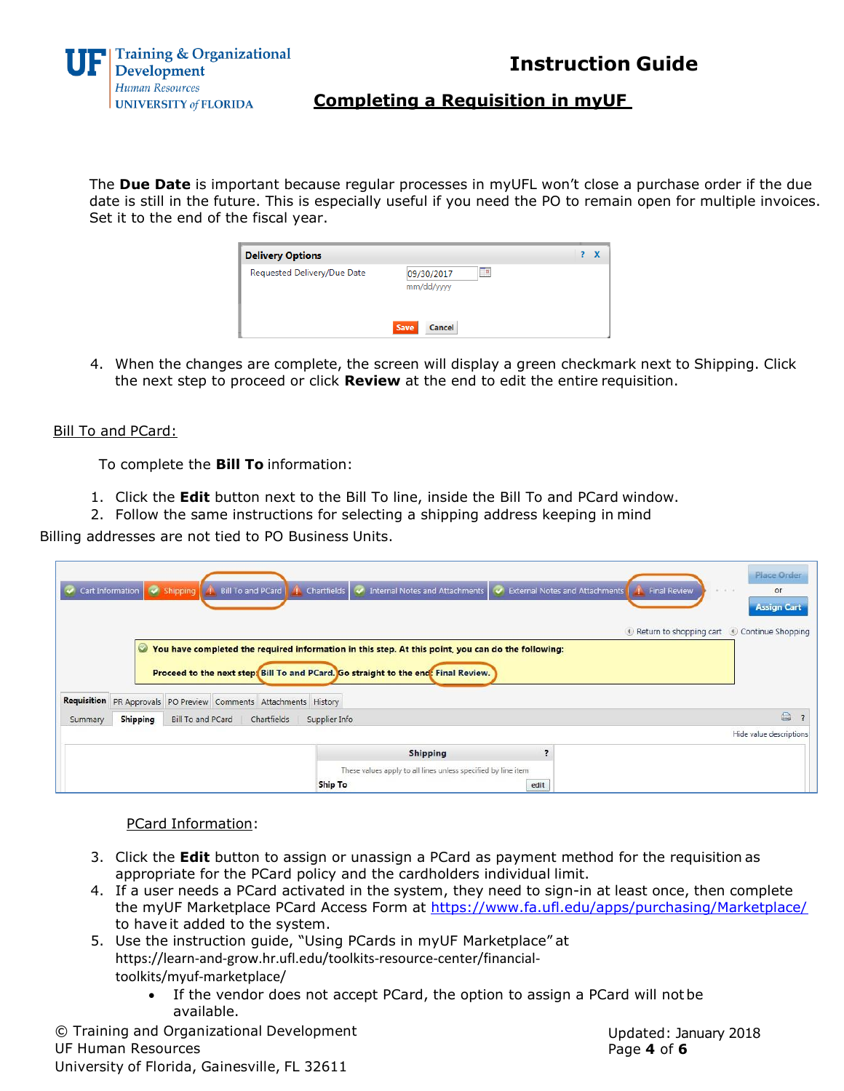

**Instruction Guide**

# **Completing a Requisition in myUF**

The **Due Date** is important because regular processes in myUFL won't close a purchase order if the due date is still in the future. This is especially useful if you need the PO to remain open for multiple invoices. Set it to the end of the fiscal year.

| <b>Delivery Options</b>     |                                | $\overline{2}$ |
|-----------------------------|--------------------------------|----------------|
| Requested Delivery/Due Date | Œ.<br>09/30/2017<br>mm/dd/yyyy |                |
|                             | Save<br>Cancel                 |                |

4. When the changes are complete, the screen will display a green checkmark next to Shipping. Click the next step to proceed or click **Review** at the end to edit the entire requisition.

### **Bill To and PCard:**

To complete the **Bill To** information:

- 1. Click the **Edit** button next to the Bill To line, inside the Bill To and PCard window.
- 2. Follow the same instructions for selecting a shipping address keeping in mind

Billing addresses are not tied to PO Business Units.

|                                                                                 | Cart Information V Shipping |  | <b>Bill To and PCard</b>                                         | Chartfields $\sim$                                                                                                                                                                       | Internal Notes and Attachments                                                   | <b>External Notes and Attachments</b> |  | <b>Final Review</b> | <b>Place Order</b><br>$4 - 4 - 4$<br>or<br><b>Assign Cart</b><br>Return to shopping cart Continue Shopping |
|---------------------------------------------------------------------------------|-----------------------------|--|------------------------------------------------------------------|------------------------------------------------------------------------------------------------------------------------------------------------------------------------------------------|----------------------------------------------------------------------------------|---------------------------------------|--|---------------------|------------------------------------------------------------------------------------------------------------|
|                                                                                 | $\bm{\omega}$               |  | Requisition PR Approvals PO Preview Comments Attachments History | You have completed the required information in this step. At this point, you can do the following:<br>Proceed to the next step. Bill To and PCard. Go straight to the end: Final Review. |                                                                                  |                                       |  |                     |                                                                                                            |
| <b>Shipping</b><br>Bill To and PCard<br>Chartfields<br>Supplier Info<br>Summary |                             |  |                                                                  |                                                                                                                                                                                          |                                                                                  |                                       |  | $\bigcirc$          |                                                                                                            |
|                                                                                 |                             |  |                                                                  |                                                                                                                                                                                          |                                                                                  |                                       |  |                     | Hide value descriptions                                                                                    |
|                                                                                 |                             |  |                                                                  | <b>Ship To</b>                                                                                                                                                                           | <b>Shipping</b><br>These values apply to all lines unless specified by line item | edit                                  |  |                     |                                                                                                            |

PCard Information:

- 3. Click the **Edit** button to assign or unassign a PCard as payment method for the requisition as appropriate for the PCard policy and the cardholders individual limit.
- 4. If a user needs a PCard activated in the system, they need to sign-in at least once, then complete the myUF Marketplace PCard Access Form at https://www.fa.ufl.edu/apps/purchasing/Marketplace/ to have it added to the system.
- 5. Use the instruction guide, "Using PCards in myUF Marketplace" at https://learn-and-grow.hr.ufl.edu/toolkits-resource-center/financialtoolkits/myuf-marketplace/
	- If the vendor does not accept PCard, the option to assign a PCard will notbe available.

© Training and Organizational Development UF Human Resources University of Florida, Gainesville, FL 32611

Updated: January 2018 Page **4** of **6**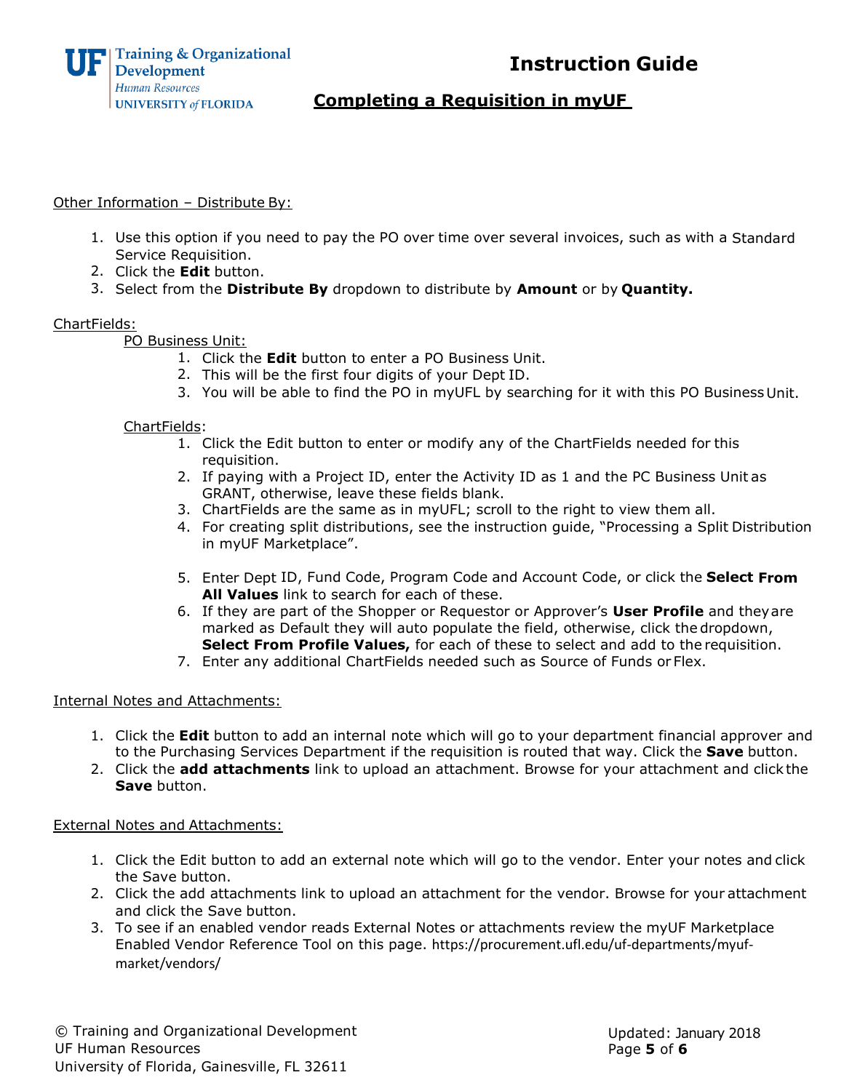



## **Completing a Requisition in myUF**

### Other Information – Distribute By:

- 1. Use this option if you need to pay the PO over time over several invoices, such as with a Standard Service Requisition.
- 2. Click the **Edit** button.
- 3. Select from the **Distribute By** dropdown to distribute by **Amount** or by **Quantity.**

### ChartFields:

PO Business Unit:

- 1. Click the **Edit** button to enter a PO Business Unit.
- 2. This will be the first four digits of your Dept ID.
- 3. You will be able to find the PO in myUFL by searching for it with this PO Business Unit.

### ChartFields:

- 1. Click the Edit button to enter or modify any of the ChartFields needed for this requisition.
- 2. If paying with a Project ID, enter the Activity ID as 1 and the PC Business Unit as GRANT, otherwise, leave these fields blank.
- 3. ChartFields are the same as in myUFL; scroll to the right to view them all.
- 4. For creating split distributions, see the instruction guide, "Processing a Split Distribution in myUF Marketplace".
- 5. Enter Dept ID, Fund Code, Program Code and Account Code, or click the **Select From All Values** link to search for each of these.
- 6. If they are part of the Shopper or Requestor or Approver's **User Profile** and theyare marked as Default they will auto populate the field, otherwise, click the dropdown, **Select From Profile Values,** for each of these to select and add to the requisition.
- 7. Enter any additional ChartFields needed such as Source of Funds or Flex.

### Internal Notes and Attachments:

- 1. Click the **Edit** button to add an internal note which will go to your department financial approver and to the Purchasing Services Department if the requisition is routed that way. Click the **Save** button.
- 2. Click the **add attachments** link to upload an attachment. Browse for your attachment and click the **Save** button.

### External Notes and Attachments:

- 1. Click the Edit button to add an external note which will go to the vendor. Enter your notes and click the Save button.
- 2. Click the add attachments link to upload an attachment for the vendor. Browse for your attachment and click the Save button.
- 3. To see if an enabled vendor reads External Notes or attachments review the myUF Marketplace Enabled Vendor Reference Tool on this page. https://procurement.ufl.edu/uf-departments/myufmarket/vendors/